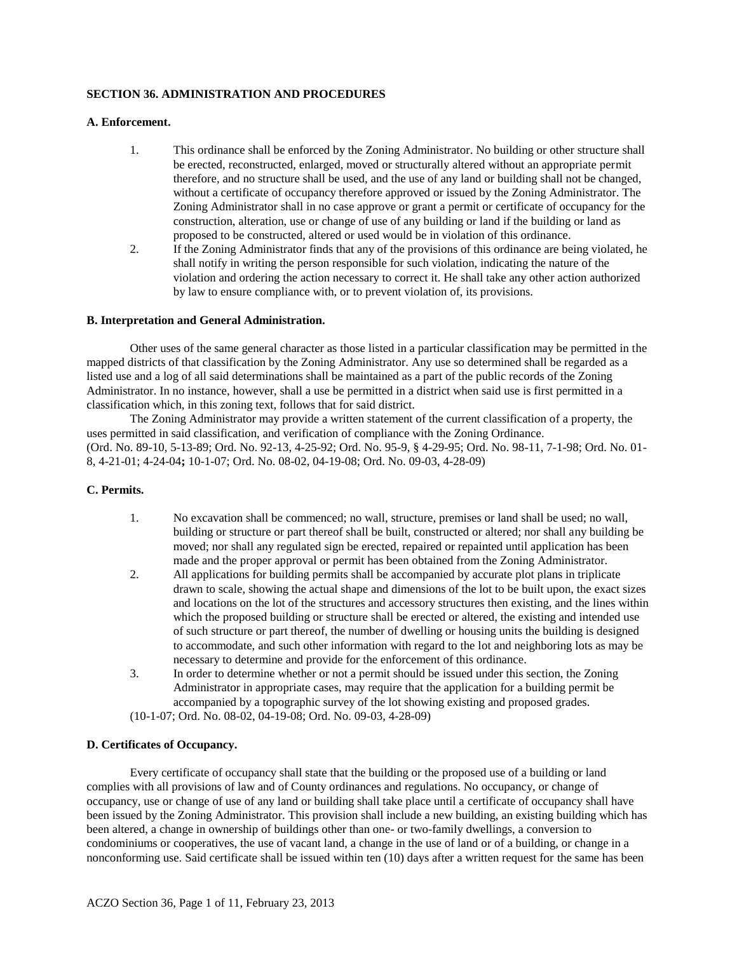### **SECTION 36. ADMINISTRATION AND PROCEDURES**

#### **A. Enforcement.**

- 1. This ordinance shall be enforced by the Zoning Administrator. No building or other structure shall be erected, reconstructed, enlarged, moved or structurally altered without an appropriate permit therefore, and no structure shall be used, and the use of any land or building shall not be changed, without a certificate of occupancy therefore approved or issued by the Zoning Administrator. The Zoning Administrator shall in no case approve or grant a permit or certificate of occupancy for the construction, alteration, use or change of use of any building or land if the building or land as proposed to be constructed, altered or used would be in violation of this ordinance.
- 2. If the Zoning Administrator finds that any of the provisions of this ordinance are being violated, he shall notify in writing the person responsible for such violation, indicating the nature of the violation and ordering the action necessary to correct it. He shall take any other action authorized by law to ensure compliance with, or to prevent violation of, its provisions.

#### **B. Interpretation and General Administration.**

Other uses of the same general character as those listed in a particular classification may be permitted in the mapped districts of that classification by the Zoning Administrator. Any use so determined shall be regarded as a listed use and a log of all said determinations shall be maintained as a part of the public records of the Zoning Administrator. In no instance, however, shall a use be permitted in a district when said use is first permitted in a classification which, in this zoning text, follows that for said district.

The Zoning Administrator may provide a written statement of the current classification of a property, the uses permitted in said classification, and verification of compliance with the Zoning Ordinance. (Ord. No. 89-10, 5-13-89; Ord. No. 92-13, 4-25-92; Ord. No. 95-9, § 4-29-95; Ord. No. 98-11, 7-1-98; Ord. No. 01- 8, 4-21-01; 4-24-04**;** 10-1-07; Ord. No. 08-02, 04-19-08; Ord. No. 09-03, 4-28-09)

#### **C. Permits.**

- 1. No excavation shall be commenced; no wall, structure, premises or land shall be used; no wall, building or structure or part thereof shall be built, constructed or altered; nor shall any building be moved; nor shall any regulated sign be erected, repaired or repainted until application has been made and the proper approval or permit has been obtained from the Zoning Administrator.
- 2. All applications for building permits shall be accompanied by accurate plot plans in triplicate drawn to scale, showing the actual shape and dimensions of the lot to be built upon, the exact sizes and locations on the lot of the structures and accessory structures then existing, and the lines within which the proposed building or structure shall be erected or altered, the existing and intended use of such structure or part thereof, the number of dwelling or housing units the building is designed to accommodate, and such other information with regard to the lot and neighboring lots as may be necessary to determine and provide for the enforcement of this ordinance.
- 3. In order to determine whether or not a permit should be issued under this section, the Zoning Administrator in appropriate cases, may require that the application for a building permit be accompanied by a topographic survey of the lot showing existing and proposed grades.
- (10-1-07; Ord. No. 08-02, 04-19-08; Ord. No. 09-03, 4-28-09)

#### **D. Certificates of Occupancy.**

Every certificate of occupancy shall state that the building or the proposed use of a building or land complies with all provisions of law and of County ordinances and regulations. No occupancy, or change of occupancy, use or change of use of any land or building shall take place until a certificate of occupancy shall have been issued by the Zoning Administrator. This provision shall include a new building, an existing building which has been altered, a change in ownership of buildings other than one- or two-family dwellings, a conversion to condominiums or cooperatives, the use of vacant land, a change in the use of land or of a building, or change in a nonconforming use. Said certificate shall be issued within ten (10) days after a written request for the same has been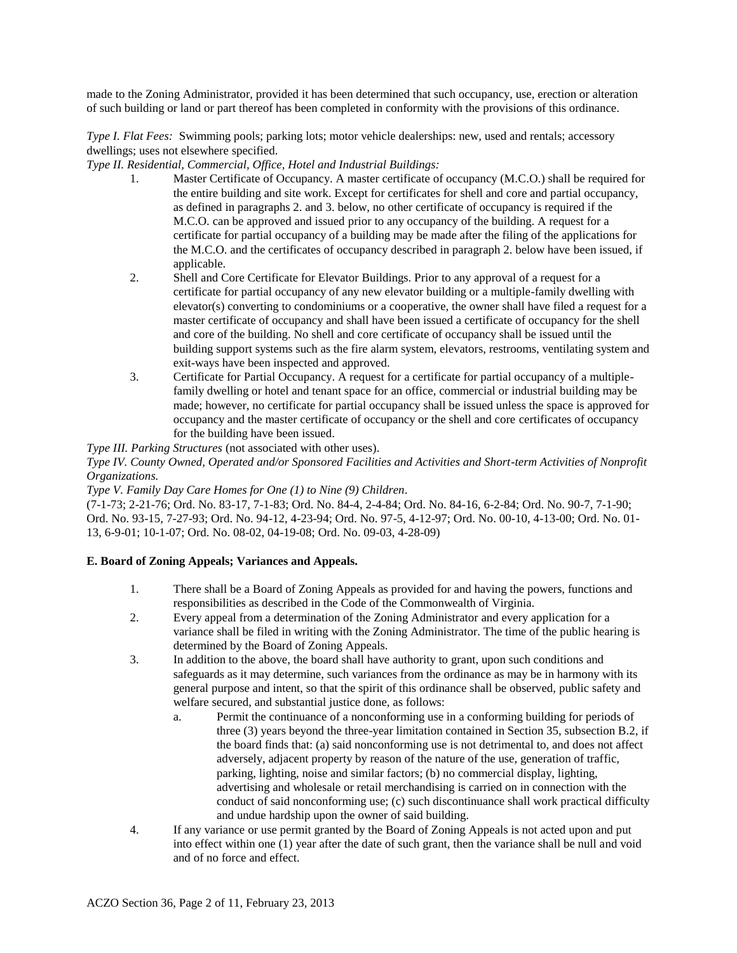made to the Zoning Administrator, provided it has been determined that such occupancy, use, erection or alteration of such building or land or part thereof has been completed in conformity with the provisions of this ordinance.

*Type I. Flat Fees:* Swimming pools; parking lots; motor vehicle dealerships: new, used and rentals; accessory dwellings; uses not elsewhere specified.

# *Type II. Residential, Commercial, Office, Hotel and Industrial Buildings:*

- 1. Master Certificate of Occupancy. A master certificate of occupancy (M.C.O.) shall be required for the entire building and site work. Except for certificates for shell and core and partial occupancy, as defined in paragraphs 2. and 3. below, no other certificate of occupancy is required if the M.C.O. can be approved and issued prior to any occupancy of the building. A request for a certificate for partial occupancy of a building may be made after the filing of the applications for the M.C.O. and the certificates of occupancy described in paragraph 2. below have been issued, if applicable.
- 2. Shell and Core Certificate for Elevator Buildings. Prior to any approval of a request for a certificate for partial occupancy of any new elevator building or a multiple-family dwelling with elevator(s) converting to condominiums or a cooperative, the owner shall have filed a request for a master certificate of occupancy and shall have been issued a certificate of occupancy for the shell and core of the building. No shell and core certificate of occupancy shall be issued until the building support systems such as the fire alarm system, elevators, restrooms, ventilating system and exit-ways have been inspected and approved.
- 3. Certificate for Partial Occupancy. A request for a certificate for partial occupancy of a multiplefamily dwelling or hotel and tenant space for an office, commercial or industrial building may be made; however, no certificate for partial occupancy shall be issued unless the space is approved for occupancy and the master certificate of occupancy or the shell and core certificates of occupancy for the building have been issued.

*Type III. Parking Structures* (not associated with other uses).

*Type IV. County Owned, Operated and/or Sponsored Facilities and Activities and Short-term Activities of Nonprofit Organizations.*

#### *Type V. Family Day Care Homes for One (1) to Nine (9) Children.*

(7-1-73; 2-21-76; Ord. No. 83-17, 7-1-83; Ord. No. 84-4, 2-4-84; Ord. No. 84-16, 6-2-84; Ord. No. 90-7, 7-1-90; Ord. No. 93-15, 7-27-93; Ord. No. 94-12, 4-23-94; Ord. No. 97-5, 4-12-97; Ord. No. 00-10, 4-13-00; Ord. No. 01- 13, 6-9-01; 10-1-07; Ord. No. 08-02, 04-19-08; Ord. No. 09-03, 4-28-09)

#### **E. Board of Zoning Appeals; Variances and Appeals.**

- 1. There shall be a Board of Zoning Appeals as provided for and having the powers, functions and responsibilities as described in the Code of the Commonwealth of Virginia.
- 2. Every appeal from a determination of the Zoning Administrator and every application for a variance shall be filed in writing with the Zoning Administrator. The time of the public hearing is determined by the Board of Zoning Appeals.
- 3. In addition to the above, the board shall have authority to grant, upon such conditions and safeguards as it may determine, such variances from the ordinance as may be in harmony with its general purpose and intent, so that the spirit of this ordinance shall be observed, public safety and welfare secured, and substantial justice done, as follows:
	- a. Permit the continuance of a nonconforming use in a conforming building for periods of three (3) years beyond the three-year limitation contained in Section 35, subsection B.2, if the board finds that: (a) said nonconforming use is not detrimental to, and does not affect adversely, adjacent property by reason of the nature of the use, generation of traffic, parking, lighting, noise and similar factors; (b) no commercial display, lighting, advertising and wholesale or retail merchandising is carried on in connection with the conduct of said nonconforming use; (c) such discontinuance shall work practical difficulty and undue hardship upon the owner of said building.
- 4. If any variance or use permit granted by the Board of Zoning Appeals is not acted upon and put into effect within one (1) year after the date of such grant, then the variance shall be null and void and of no force and effect.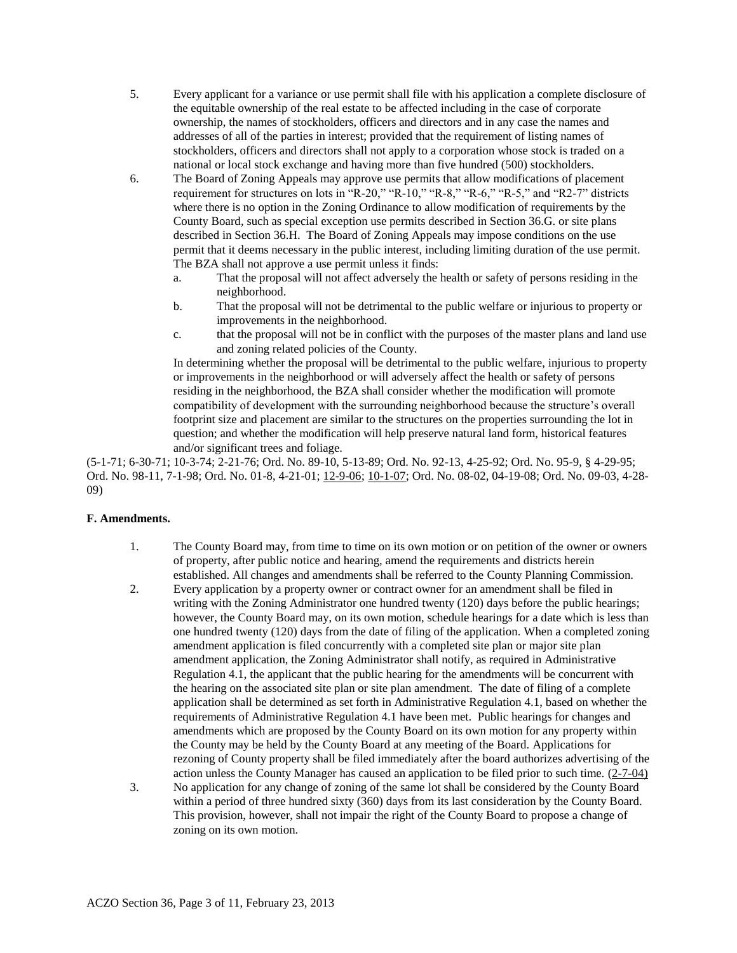- 5. Every applicant for a variance or use permit shall file with his application a complete disclosure of the equitable ownership of the real estate to be affected including in the case of corporate ownership, the names of stockholders, officers and directors and in any case the names and addresses of all of the parties in interest; provided that the requirement of listing names of stockholders, officers and directors shall not apply to a corporation whose stock is traded on a national or local stock exchange and having more than five hundred (500) stockholders.
- 6. The Board of Zoning Appeals may approve use permits that allow modifications of placement requirement for structures on lots in "R-20," "R-10," "R-8," "R-6," "R-5," and "R2-7" districts where there is no option in the Zoning Ordinance to allow modification of requirements by the County Board, such as special exception use permits described in Section 36.G. or site plans described in Section 36.H. The Board of Zoning Appeals may impose conditions on the use permit that it deems necessary in the public interest, including limiting duration of the use permit. The BZA shall not approve a use permit unless it finds:
	- a. That the proposal will not affect adversely the health or safety of persons residing in the neighborhood.
	- b. That the proposal will not be detrimental to the public welfare or injurious to property or improvements in the neighborhood.
	- c. that the proposal will not be in conflict with the purposes of the master plans and land use and zoning related policies of the County.

In determining whether the proposal will be detrimental to the public welfare, injurious to property or improvements in the neighborhood or will adversely affect the health or safety of persons residing in the neighborhood, the BZA shall consider whether the modification will promote compatibility of development with the surrounding neighborhood because the structure's overall footprint size and placement are similar to the structures on the properties surrounding the lot in question; and whether the modification will help preserve natural land form, historical features and/or significant trees and foliage.

(5-1-71; 6-30-71; 10-3-74; 2-21-76; Ord. No. 89-10, 5-13-89; Ord. No. 92-13, 4-25-92; Ord. No. 95-9, § 4-29-95; Ord. No. 98-11, 7-1-98; Ord. No. 01-8, 4-21-01; 12-9-06; 10-1-07; Ord. No. 08-02, 04-19-08; Ord. No. 09-03, 4-28- 09)

# **F. Amendments.**

- 1. The County Board may, from time to time on its own motion or on petition of the owner or owners of property, after public notice and hearing, amend the requirements and districts herein established. All changes and amendments shall be referred to the County Planning Commission.
- 2. Every application by a property owner or contract owner for an amendment shall be filed in writing with the Zoning Administrator one hundred twenty (120) days before the public hearings; however, the County Board may, on its own motion, schedule hearings for a date which is less than one hundred twenty (120) days from the date of filing of the application. When a completed zoning amendment application is filed concurrently with a completed site plan or major site plan amendment application, the Zoning Administrator shall notify, as required in Administrative Regulation 4.1, the applicant that the public hearing for the amendments will be concurrent with the hearing on the associated site plan or site plan amendment. The date of filing of a complete application shall be determined as set forth in Administrative Regulation 4.1, based on whether the requirements of Administrative Regulation 4.1 have been met. Public hearings for changes and amendments which are proposed by the County Board on its own motion for any property within the County may be held by the County Board at any meeting of the Board. Applications for rezoning of County property shall be filed immediately after the board authorizes advertising of the action unless the County Manager has caused an application to be filed prior to such time.  $(2-7-04)$
- 3. No application for any change of zoning of the same lot shall be considered by the County Board within a period of three hundred sixty (360) days from its last consideration by the County Board. This provision, however, shall not impair the right of the County Board to propose a change of zoning on its own motion.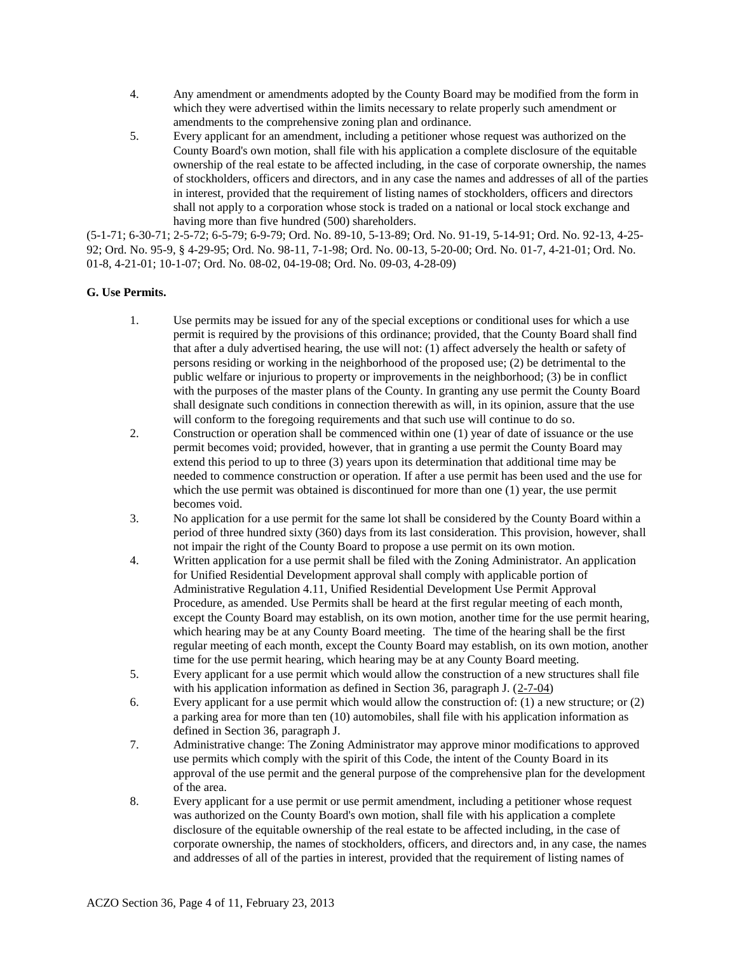- 4. Any amendment or amendments adopted by the County Board may be modified from the form in which they were advertised within the limits necessary to relate properly such amendment or amendments to the comprehensive zoning plan and ordinance.
- 5. Every applicant for an amendment, including a petitioner whose request was authorized on the County Board's own motion, shall file with his application a complete disclosure of the equitable ownership of the real estate to be affected including, in the case of corporate ownership, the names of stockholders, officers and directors, and in any case the names and addresses of all of the parties in interest, provided that the requirement of listing names of stockholders, officers and directors shall not apply to a corporation whose stock is traded on a national or local stock exchange and having more than five hundred (500) shareholders.

(5-1-71; 6-30-71; 2-5-72; 6-5-79; 6-9-79; Ord. No. 89-10, 5-13-89; Ord. No. 91-19, 5-14-91; Ord. No. 92-13, 4-25- 92; Ord. No. 95-9, § 4-29-95; Ord. No. 98-11, 7-1-98; Ord. No. 00-13, 5-20-00; Ord. No. 01-7, 4-21-01; Ord. No. 01-8, 4-21-01; 10-1-07; Ord. No. 08-02, 04-19-08; Ord. No. 09-03, 4-28-09)

# **G. Use Permits.**

- 1. Use permits may be issued for any of the special exceptions or conditional uses for which a use permit is required by the provisions of this ordinance; provided, that the County Board shall find that after a duly advertised hearing, the use will not: (1) affect adversely the health or safety of persons residing or working in the neighborhood of the proposed use; (2) be detrimental to the public welfare or injurious to property or improvements in the neighborhood; (3) be in conflict with the purposes of the master plans of the County. In granting any use permit the County Board shall designate such conditions in connection therewith as will, in its opinion, assure that the use will conform to the foregoing requirements and that such use will continue to do so.
- 2. Construction or operation shall be commenced within one (1) year of date of issuance or the use permit becomes void; provided, however, that in granting a use permit the County Board may extend this period to up to three (3) years upon its determination that additional time may be needed to commence construction or operation. If after a use permit has been used and the use for which the use permit was obtained is discontinued for more than one (1) year, the use permit becomes void.
- 3. No application for a use permit for the same lot shall be considered by the County Board within a period of three hundred sixty (360) days from its last consideration. This provision, however, shall not impair the right of the County Board to propose a use permit on its own motion.
- 4. Written application for a use permit shall be filed with the Zoning Administrator. An application for Unified Residential Development approval shall comply with applicable portion of Administrative Regulation 4.11, Unified Residential Development Use Permit Approval Procedure, as amended. Use Permits shall be heard at the first regular meeting of each month, except the County Board may establish, on its own motion, another time for the use permit hearing, which hearing may be at any County Board meeting. The time of the hearing shall be the first regular meeting of each month, except the County Board may establish, on its own motion, another time for the use permit hearing, which hearing may be at any County Board meeting.
- 5. Every applicant for a use permit which would allow the construction of a new structures shall file with his application information as defined in Section 36, paragraph J.  $(2-7-04)$
- 6. Every applicant for a use permit which would allow the construction of: (1) a new structure; or (2) a parking area for more than ten (10) automobiles, shall file with his application information as defined in Section 36, paragraph J.
- 7. Administrative change: The Zoning Administrator may approve minor modifications to approved use permits which comply with the spirit of this Code, the intent of the County Board in its approval of the use permit and the general purpose of the comprehensive plan for the development of the area.
- 8. Every applicant for a use permit or use permit amendment, including a petitioner whose request was authorized on the County Board's own motion, shall file with his application a complete disclosure of the equitable ownership of the real estate to be affected including, in the case of corporate ownership, the names of stockholders, officers, and directors and, in any case, the names and addresses of all of the parties in interest, provided that the requirement of listing names of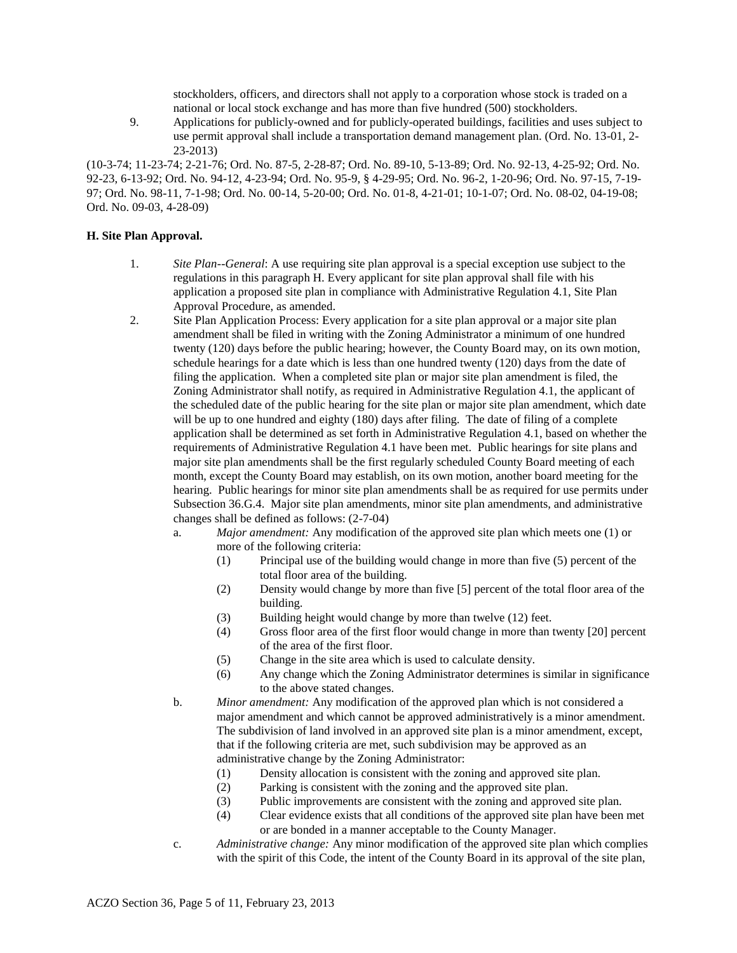stockholders, officers, and directors shall not apply to a corporation whose stock is traded on a national or local stock exchange and has more than five hundred (500) stockholders.

9. Applications for publicly-owned and for publicly-operated buildings, facilities and uses subject to use permit approval shall include a transportation demand management plan. (Ord. No. 13-01, 2- 23-2013)

(10-3-74; 11-23-74; 2-21-76; Ord. No. 87-5, 2-28-87; Ord. No. 89-10, 5-13-89; Ord. No. 92-13, 4-25-92; Ord. No. 92-23, 6-13-92; Ord. No. 94-12, 4-23-94; Ord. No. 95-9, § 4-29-95; Ord. No. 96-2, 1-20-96; Ord. No. 97-15, 7-19- 97; Ord. No. 98-11, 7-1-98; Ord. No. 00-14, 5-20-00; Ord. No. 01-8, 4-21-01; 10-1-07; Ord. No. 08-02, 04-19-08; Ord. No. 09-03, 4-28-09)

#### **H. Site Plan Approval.**

- 1. *Site Plan--General*: A use requiring site plan approval is a special exception use subject to the regulations in this paragraph H. Every applicant for site plan approval shall file with his application a proposed site plan in compliance with Administrative Regulation 4.1, Site Plan Approval Procedure, as amended.
- 2. Site Plan Application Process: Every application for a site plan approval or a major site plan amendment shall be filed in writing with the Zoning Administrator a minimum of one hundred twenty (120) days before the public hearing; however, the County Board may, on its own motion, schedule hearings for a date which is less than one hundred twenty (120) days from the date of filing the application. When a completed site plan or major site plan amendment is filed, the Zoning Administrator shall notify, as required in Administrative Regulation 4.1, the applicant of the scheduled date of the public hearing for the site plan or major site plan amendment, which date will be up to one hundred and eighty (180) days after filing. The date of filing of a complete application shall be determined as set forth in Administrative Regulation 4.1, based on whether the requirements of Administrative Regulation 4.1 have been met. Public hearings for site plans and major site plan amendments shall be the first regularly scheduled County Board meeting of each month, except the County Board may establish, on its own motion, another board meeting for the hearing. Public hearings for minor site plan amendments shall be as required for use permits under Subsection 36.G.4. Major site plan amendments, minor site plan amendments, and administrative changes shall be defined as follows: (2-7-04)
	- a. *Major amendment:* Any modification of the approved site plan which meets one (1) or more of the following criteria:
		- (1) Principal use of the building would change in more than five (5) percent of the total floor area of the building.
		- (2) Density would change by more than five [5] percent of the total floor area of the building.
		- (3) Building height would change by more than twelve (12) feet.
		- (4) Gross floor area of the first floor would change in more than twenty [20] percent of the area of the first floor.
		- (5) Change in the site area which is used to calculate density.
		- (6) Any change which the Zoning Administrator determines is similar in significance to the above stated changes.
	- b. *Minor amendment:* Any modification of the approved plan which is not considered a major amendment and which cannot be approved administratively is a minor amendment. The subdivision of land involved in an approved site plan is a minor amendment, except, that if the following criteria are met, such subdivision may be approved as an administrative change by the Zoning Administrator:
		- (1) Density allocation is consistent with the zoning and approved site plan.
		- (2) Parking is consistent with the zoning and the approved site plan.
		- (3) Public improvements are consistent with the zoning and approved site plan.
		- (4) Clear evidence exists that all conditions of the approved site plan have been met or are bonded in a manner acceptable to the County Manager.
	- c. *Administrative change:* Any minor modification of the approved site plan which complies with the spirit of this Code, the intent of the County Board in its approval of the site plan,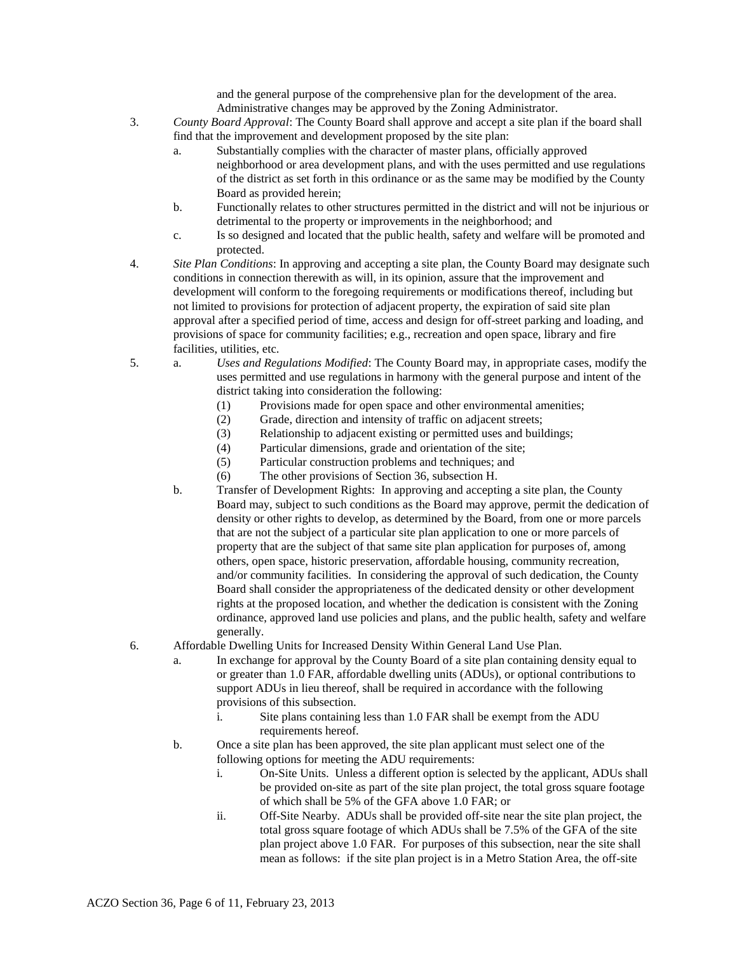and the general purpose of the comprehensive plan for the development of the area. Administrative changes may be approved by the Zoning Administrator.

- 3. *County Board Approval*: The County Board shall approve and accept a site plan if the board shall find that the improvement and development proposed by the site plan:
	- a. Substantially complies with the character of master plans, officially approved neighborhood or area development plans, and with the uses permitted and use regulations of the district as set forth in this ordinance or as the same may be modified by the County Board as provided herein;
	- b. Functionally relates to other structures permitted in the district and will not be injurious or detrimental to the property or improvements in the neighborhood; and
	- c. Is so designed and located that the public health, safety and welfare will be promoted and protected.
- 4. *Site Plan Conditions*: In approving and accepting a site plan, the County Board may designate such conditions in connection therewith as will, in its opinion, assure that the improvement and development will conform to the foregoing requirements or modifications thereof, including but not limited to provisions for protection of adjacent property, the expiration of said site plan approval after a specified period of time, access and design for off-street parking and loading, and provisions of space for community facilities; e.g., recreation and open space, library and fire facilities, utilities, etc.
- 5. a. *Uses and Regulations Modified*: The County Board may, in appropriate cases, modify the uses permitted and use regulations in harmony with the general purpose and intent of the district taking into consideration the following:
	- (1) Provisions made for open space and other environmental amenities;
	- (2) Grade, direction and intensity of traffic on adjacent streets;
	- (3) Relationship to adjacent existing or permitted uses and buildings;
	- (4) Particular dimensions, grade and orientation of the site;
	- (5) Particular construction problems and techniques; and
	- (6) The other provisions of Section 36, subsection H.
	- b. Transfer of Development Rights: In approving and accepting a site plan, the County Board may, subject to such conditions as the Board may approve, permit the dedication of density or other rights to develop, as determined by the Board, from one or more parcels that are not the subject of a particular site plan application to one or more parcels of property that are the subject of that same site plan application for purposes of, among others, open space, historic preservation, affordable housing, community recreation, and/or community facilities. In considering the approval of such dedication, the County Board shall consider the appropriateness of the dedicated density or other development rights at the proposed location, and whether the dedication is consistent with the Zoning ordinance, approved land use policies and plans, and the public health, safety and welfare generally.
- 6. Affordable Dwelling Units for Increased Density Within General Land Use Plan.
	- a. In exchange for approval by the County Board of a site plan containing density equal to or greater than 1.0 FAR, affordable dwelling units (ADUs), or optional contributions to support ADUs in lieu thereof, shall be required in accordance with the following provisions of this subsection.
		- i. Site plans containing less than 1.0 FAR shall be exempt from the ADU requirements hereof.
	- b. Once a site plan has been approved, the site plan applicant must select one of the following options for meeting the ADU requirements:
		- i. On-Site Units. Unless a different option is selected by the applicant, ADUs shall be provided on-site as part of the site plan project, the total gross square footage of which shall be 5% of the GFA above 1.0 FAR; or
		- ii. Off-Site Nearby. ADUs shall be provided off-site near the site plan project, the total gross square footage of which ADUs shall be 7.5% of the GFA of the site plan project above 1.0 FAR. For purposes of this subsection, near the site shall mean as follows: if the site plan project is in a Metro Station Area, the off-site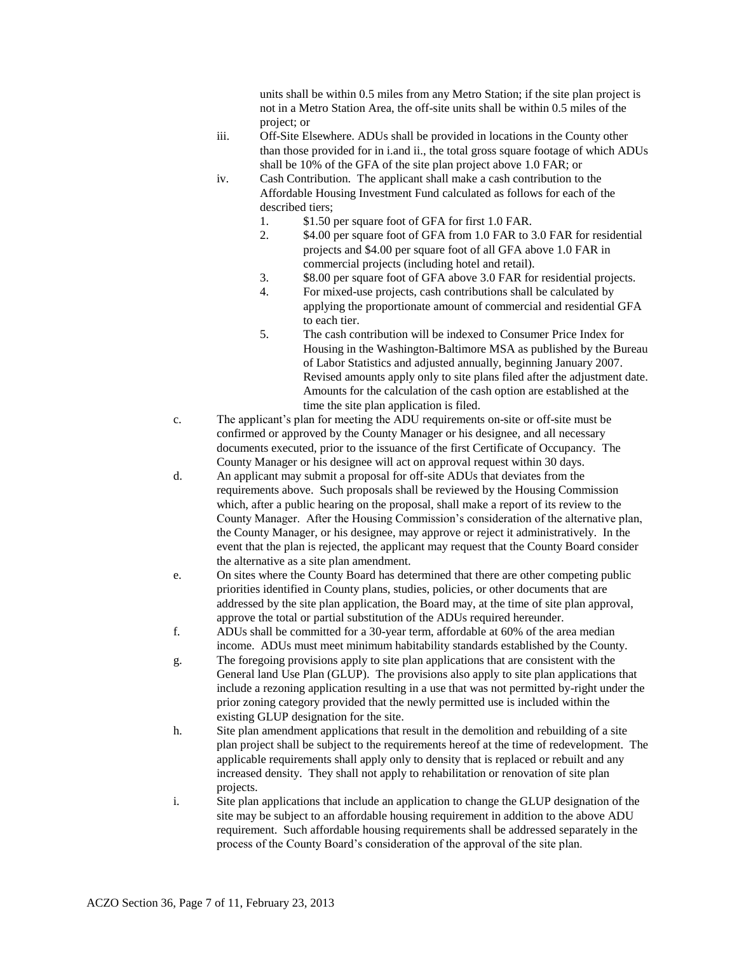units shall be within 0.5 miles from any Metro Station; if the site plan project is not in a Metro Station Area, the off-site units shall be within 0.5 miles of the project; or

- iii. Off-Site Elsewhere. ADUs shall be provided in locations in the County other than those provided for in i.and ii., the total gross square footage of which ADUs shall be 10% of the GFA of the site plan project above 1.0 FAR; or
- iv. Cash Contribution. The applicant shall make a cash contribution to the Affordable Housing Investment Fund calculated as follows for each of the described tiers;
	- 1. \$1.50 per square foot of GFA for first 1.0 FAR.
	- 2. \$4.00 per square foot of GFA from 1.0 FAR to 3.0 FAR for residential projects and \$4.00 per square foot of all GFA above 1.0 FAR in commercial projects (including hotel and retail).
	- 3. \$8.00 per square foot of GFA above 3.0 FAR for residential projects.
	- 4. For mixed-use projects, cash contributions shall be calculated by applying the proportionate amount of commercial and residential GFA to each tier.
	- 5. The cash contribution will be indexed to Consumer Price Index for Housing in the Washington-Baltimore MSA as published by the Bureau of Labor Statistics and adjusted annually, beginning January 2007. Revised amounts apply only to site plans filed after the adjustment date. Amounts for the calculation of the cash option are established at the time the site plan application is filed.
- c. The applicant's plan for meeting the ADU requirements on-site or off-site must be confirmed or approved by the County Manager or his designee, and all necessary documents executed, prior to the issuance of the first Certificate of Occupancy. The County Manager or his designee will act on approval request within 30 days.
- d. An applicant may submit a proposal for off-site ADUs that deviates from the requirements above. Such proposals shall be reviewed by the Housing Commission which, after a public hearing on the proposal, shall make a report of its review to the County Manager. After the Housing Commission's consideration of the alternative plan, the County Manager, or his designee, may approve or reject it administratively. In the event that the plan is rejected, the applicant may request that the County Board consider the alternative as a site plan amendment.
- e. On sites where the County Board has determined that there are other competing public priorities identified in County plans, studies, policies, or other documents that are addressed by the site plan application, the Board may, at the time of site plan approval, approve the total or partial substitution of the ADUs required hereunder.
- f. ADUs shall be committed for a 30-year term, affordable at 60% of the area median income. ADUs must meet minimum habitability standards established by the County.
- g. The foregoing provisions apply to site plan applications that are consistent with the General land Use Plan (GLUP). The provisions also apply to site plan applications that include a rezoning application resulting in a use that was not permitted by-right under the prior zoning category provided that the newly permitted use is included within the existing GLUP designation for the site.
- h. Site plan amendment applications that result in the demolition and rebuilding of a site plan project shall be subject to the requirements hereof at the time of redevelopment. The applicable requirements shall apply only to density that is replaced or rebuilt and any increased density. They shall not apply to rehabilitation or renovation of site plan projects.
- i. Site plan applications that include an application to change the GLUP designation of the site may be subject to an affordable housing requirement in addition to the above ADU requirement. Such affordable housing requirements shall be addressed separately in the process of the County Board's consideration of the approval of the site plan.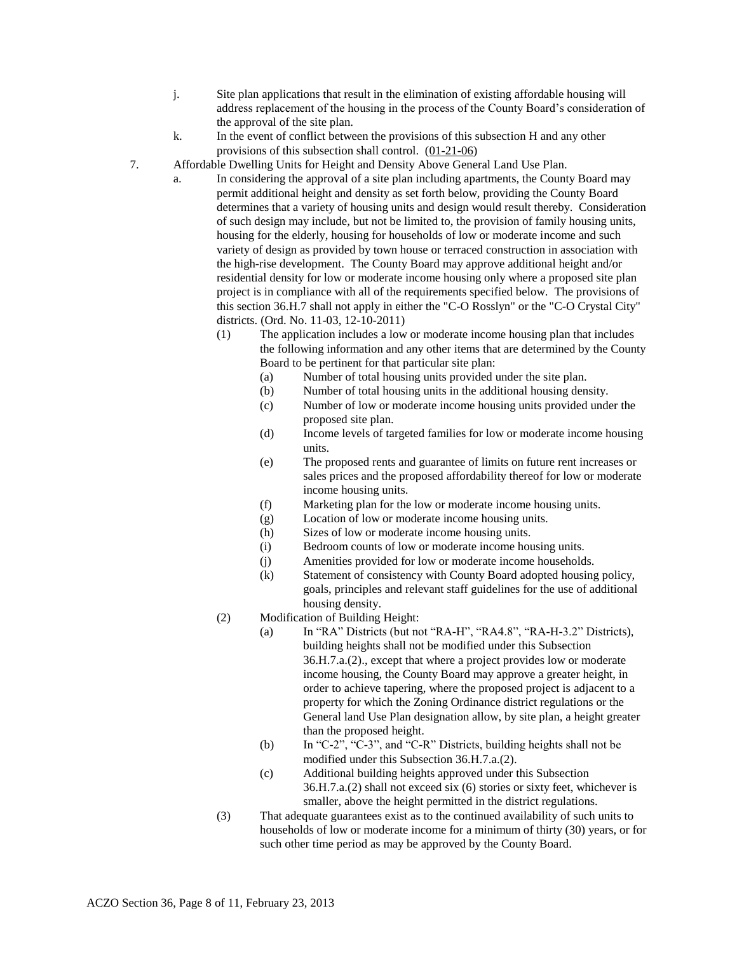- j. Site plan applications that result in the elimination of existing affordable housing will address replacement of the housing in the process of the County Board's consideration of the approval of the site plan.
- k. In the event of conflict between the provisions of this subsection H and any other provisions of this subsection shall control.  $(01-21-06)$
- 7. Affordable Dwelling Units for Height and Density Above General Land Use Plan.
	- a. In considering the approval of a site plan including apartments, the County Board may permit additional height and density as set forth below, providing the County Board determines that a variety of housing units and design would result thereby. Consideration of such design may include, but not be limited to, the provision of family housing units, housing for the elderly, housing for households of low or moderate income and such variety of design as provided by town house or terraced construction in association with the high-rise development. The County Board may approve additional height and/or residential density for low or moderate income housing only where a proposed site plan project is in compliance with all of the requirements specified below. The provisions of this section 36.H.7 shall not apply in either the "C-O Rosslyn" or the "C-O Crystal City" districts. (Ord. No. 11-03, 12-10-2011)
		- (1) The application includes a low or moderate income housing plan that includes the following information and any other items that are determined by the County Board to be pertinent for that particular site plan:
			- (a) Number of total housing units provided under the site plan.
			- (b) Number of total housing units in the additional housing density.
			- (c) Number of low or moderate income housing units provided under the proposed site plan.
			- (d) Income levels of targeted families for low or moderate income housing units.
			- (e) The proposed rents and guarantee of limits on future rent increases or sales prices and the proposed affordability thereof for low or moderate income housing units.
			- (f) Marketing plan for the low or moderate income housing units.
			- (g) Location of low or moderate income housing units.
			- (h) Sizes of low or moderate income housing units.
			- (i) Bedroom counts of low or moderate income housing units.
			- (j) Amenities provided for low or moderate income households.
			- (k) Statement of consistency with County Board adopted housing policy, goals, principles and relevant staff guidelines for the use of additional housing density.
		- (2) Modification of Building Height:
			- (a) In "RA" Districts (but not "RA-H", "RA4.8", "RA-H-3.2" Districts), building heights shall not be modified under this Subsection 36.H.7.a.(2)., except that where a project provides low or moderate income housing, the County Board may approve a greater height, in order to achieve tapering, where the proposed project is adjacent to a property for which the Zoning Ordinance district regulations or the General land Use Plan designation allow, by site plan, a height greater than the proposed height.
			- (b) In "C-2", "C-3", and "C-R" Districts, building heights shall not be modified under this Subsection 36.H.7.a.(2).
			- (c) Additional building heights approved under this Subsection 36.H.7.a.(2) shall not exceed six (6) stories or sixty feet, whichever is smaller, above the height permitted in the district regulations.
		- (3) That adequate guarantees exist as to the continued availability of such units to households of low or moderate income for a minimum of thirty (30) years, or for such other time period as may be approved by the County Board.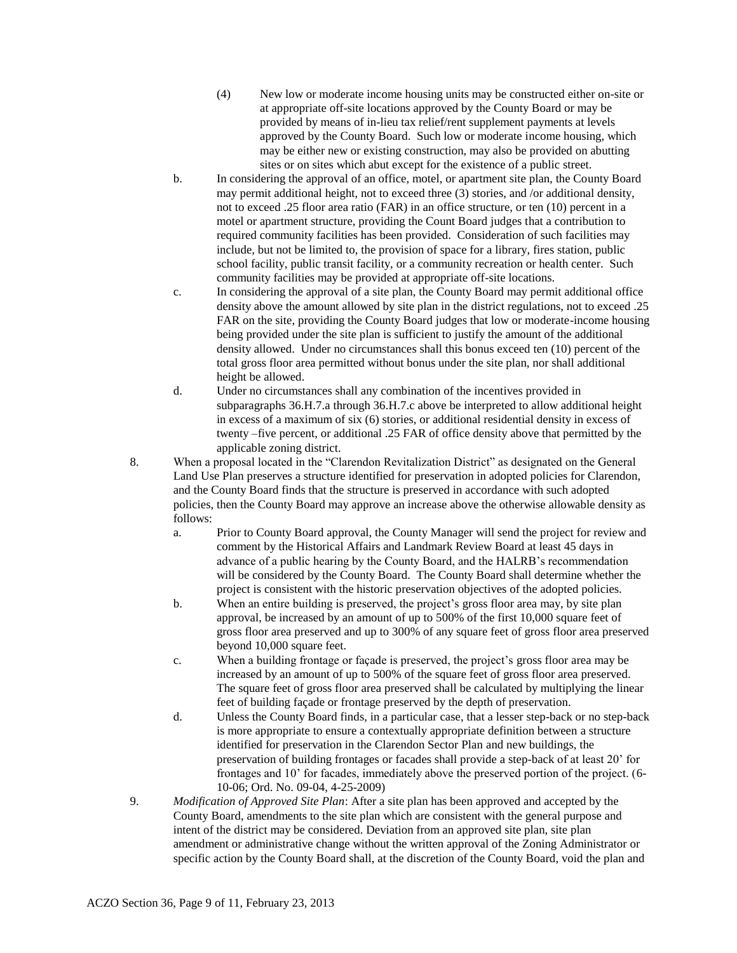- (4) New low or moderate income housing units may be constructed either on-site or at appropriate off-site locations approved by the County Board or may be provided by means of in-lieu tax relief/rent supplement payments at levels approved by the County Board. Such low or moderate income housing, which may be either new or existing construction, may also be provided on abutting sites or on sites which abut except for the existence of a public street.
- b. In considering the approval of an office, motel, or apartment site plan, the County Board may permit additional height, not to exceed three (3) stories, and /or additional density, not to exceed .25 floor area ratio (FAR) in an office structure, or ten (10) percent in a motel or apartment structure, providing the Count Board judges that a contribution to required community facilities has been provided. Consideration of such facilities may include, but not be limited to, the provision of space for a library, fires station, public school facility, public transit facility, or a community recreation or health center. Such community facilities may be provided at appropriate off-site locations.
- c. In considering the approval of a site plan, the County Board may permit additional office density above the amount allowed by site plan in the district regulations, not to exceed .25 FAR on the site, providing the County Board judges that low or moderate-income housing being provided under the site plan is sufficient to justify the amount of the additional density allowed. Under no circumstances shall this bonus exceed ten (10) percent of the total gross floor area permitted without bonus under the site plan, nor shall additional height be allowed.
- d. Under no circumstances shall any combination of the incentives provided in subparagraphs 36.H.7.a through 36.H.7.c above be interpreted to allow additional height in excess of a maximum of six (6) stories, or additional residential density in excess of twenty –five percent, or additional .25 FAR of office density above that permitted by the applicable zoning district.
- 8. When a proposal located in the "Clarendon Revitalization District" as designated on the General Land Use Plan preserves a structure identified for preservation in adopted policies for Clarendon, and the County Board finds that the structure is preserved in accordance with such adopted policies, then the County Board may approve an increase above the otherwise allowable density as follows:
	- a. Prior to County Board approval, the County Manager will send the project for review and comment by the Historical Affairs and Landmark Review Board at least 45 days in advance of a public hearing by the County Board, and the HALRB's recommendation will be considered by the County Board. The County Board shall determine whether the project is consistent with the historic preservation objectives of the adopted policies.
	- b. When an entire building is preserved, the project's gross floor area may, by site plan approval, be increased by an amount of up to 500% of the first 10,000 square feet of gross floor area preserved and up to 300% of any square feet of gross floor area preserved beyond 10,000 square feet.
	- c. When a building frontage or façade is preserved, the project's gross floor area may be increased by an amount of up to 500% of the square feet of gross floor area preserved. The square feet of gross floor area preserved shall be calculated by multiplying the linear feet of building façade or frontage preserved by the depth of preservation.
	- d. Unless the County Board finds, in a particular case, that a lesser step-back or no step-back is more appropriate to ensure a contextually appropriate definition between a structure identified for preservation in the Clarendon Sector Plan and new buildings, the preservation of building frontages or facades shall provide a step-back of at least 20' for frontages and 10' for facades, immediately above the preserved portion of the project. (6- 10-06; Ord. No. 09-04, 4-25-2009)
- 9. *Modification of Approved Site Plan*: After a site plan has been approved and accepted by the County Board, amendments to the site plan which are consistent with the general purpose and intent of the district may be considered. Deviation from an approved site plan, site plan amendment or administrative change without the written approval of the Zoning Administrator or specific action by the County Board shall, at the discretion of the County Board, void the plan and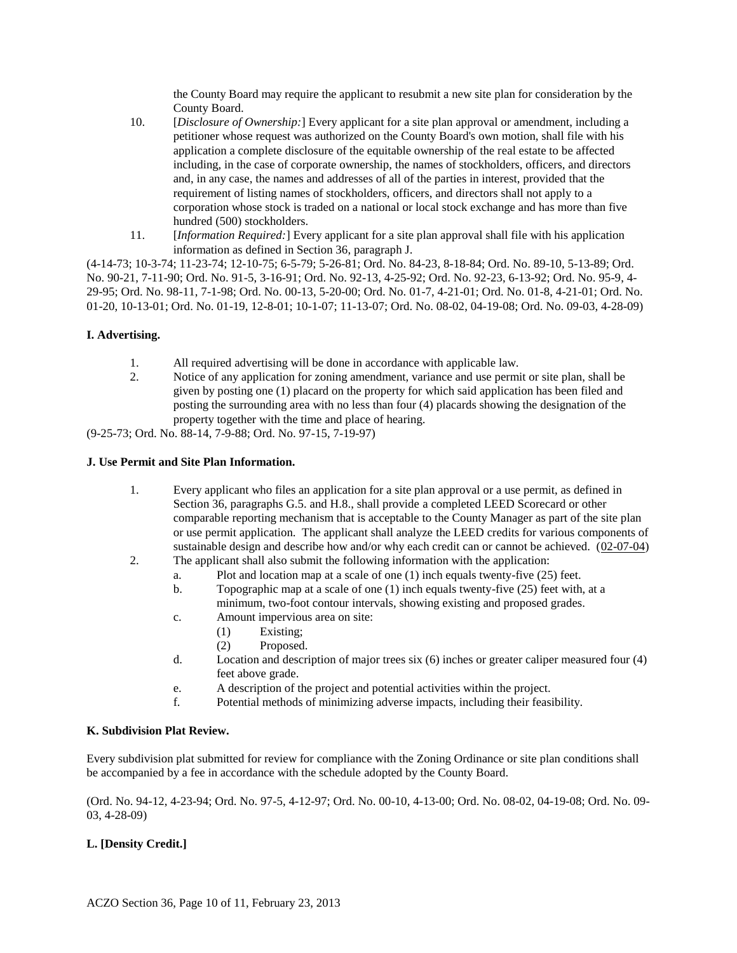the County Board may require the applicant to resubmit a new site plan for consideration by the County Board.

- 10. [*Disclosure of Ownership:*] Every applicant for a site plan approval or amendment, including a petitioner whose request was authorized on the County Board's own motion, shall file with his application a complete disclosure of the equitable ownership of the real estate to be affected including, in the case of corporate ownership, the names of stockholders, officers, and directors and, in any case, the names and addresses of all of the parties in interest, provided that the requirement of listing names of stockholders, officers, and directors shall not apply to a corporation whose stock is traded on a national or local stock exchange and has more than five hundred (500) stockholders.
- 11. [*Information Required:*] Every applicant for a site plan approval shall file with his application information as defined in Section 36, paragraph J.

(4-14-73; 10-3-74; 11-23-74; 12-10-75; 6-5-79; 5-26-81; Ord. No. 84-23, 8-18-84; Ord. No. 89-10, 5-13-89; Ord. No. 90-21, 7-11-90; Ord. No. 91-5, 3-16-91; Ord. No. 92-13, 4-25-92; Ord. No. 92-23, 6-13-92; Ord. No. 95-9, 4- 29-95; Ord. No. 98-11, 7-1-98; Ord. No. 00-13, 5-20-00; Ord. No. 01-7, 4-21-01; Ord. No. 01-8, 4-21-01; Ord. No. 01-20, 10-13-01; Ord. No. 01-19, 12-8-01; 10-1-07; 11-13-07; Ord. No. 08-02, 04-19-08; Ord. No. 09-03, 4-28-09)

# **I. Advertising.**

- 1. All required advertising will be done in accordance with applicable law.
- 2. Notice of any application for zoning amendment, variance and use permit or site plan, shall be given by posting one (1) placard on the property for which said application has been filed and posting the surrounding area with no less than four (4) placards showing the designation of the property together with the time and place of hearing.

(9-25-73; Ord. No. 88-14, 7-9-88; Ord. No. 97-15, 7-19-97)

# **J. Use Permit and Site Plan Information.**

- 1. Every applicant who files an application for a site plan approval or a use permit, as defined in Section 36, paragraphs G.5. and H.8., shall provide a completed LEED Scorecard or other comparable reporting mechanism that is acceptable to the County Manager as part of the site plan or use permit application. The applicant shall analyze the LEED credits for various components of sustainable design and describe how and/or why each credit can or cannot be achieved. (02-07-04)
- 2. The applicant shall also submit the following information with the application:
	- a. Plot and location map at a scale of one (1) inch equals twenty-five (25) feet.
	- b. Topographic map at a scale of one (1) inch equals twenty-five (25) feet with, at a minimum, two-foot contour intervals, showing existing and proposed grades.
	- c. Amount impervious area on site:
		- (1) Existing;
		- (2) Proposed.
	- d. Location and description of major trees six (6) inches or greater caliper measured four (4) feet above grade.
	- e. A description of the project and potential activities within the project.
	- f. Potential methods of minimizing adverse impacts, including their feasibility.

# **K. Subdivision Plat Review.**

Every subdivision plat submitted for review for compliance with the Zoning Ordinance or site plan conditions shall be accompanied by a fee in accordance with the schedule adopted by the County Board.

(Ord. No. 94-12, 4-23-94; Ord. No. 97-5, 4-12-97; Ord. No. 00-10, 4-13-00; Ord. No. 08-02, 04-19-08; Ord. No. 09- 03, 4-28-09)

# **L. [Density Credit.]**